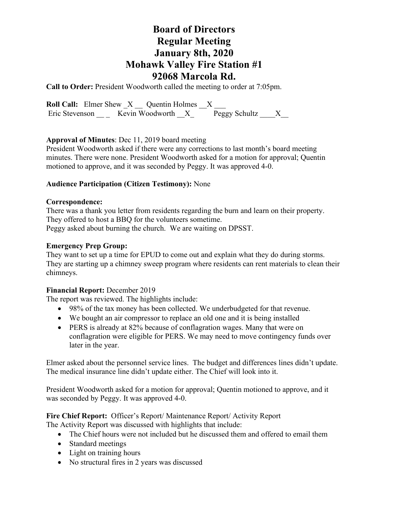**Call to Order:** President Woodworth called the meeting to order at 7:05pm.

**Roll Call:** Elmer Shew  $X$  Quentin Holmes  $X$ Eric Stevenson \_\_\_\_\_ Kevin Woodworth  $\overline{X}$  Peggy Schultz  $\overline{X}$ 

## **Approval of Minutes**: Dec 11, 2019 board meeting

President Woodworth asked if there were any corrections to last month's board meeting minutes. There were none. President Woodworth asked for a motion for approval; Quentin motioned to approve, and it was seconded by Peggy. It was approved 4-0.

## **Audience Participation (Citizen Testimony):** None

### **Correspondence:**

There was a thank you letter from residents regarding the burn and learn on their property. They offered to host a BBQ for the volunteers sometime. Peggy asked about burning the church. We are waiting on DPSST.

### **Emergency Prep Group:**

They want to set up a time for EPUD to come out and explain what they do during storms. They are starting up a chimney sweep program where residents can rent materials to clean their chimneys.

## **Financial Report:** December 2019

The report was reviewed. The highlights include:

- 98% of the tax money has been collected. We underbudgeted for that revenue.
- We bought an air compressor to replace an old one and it is being installed
- PERS is already at 82% because of conflagration wages. Many that were on conflagration were eligible for PERS. We may need to move contingency funds over later in the year.

Elmer asked about the personnel service lines. The budget and differences lines didn't update. The medical insurance line didn't update either. The Chief will look into it.

President Woodworth asked for a motion for approval; Quentin motioned to approve, and it was seconded by Peggy. It was approved 4-0.

#### **Fire Chief Report:** Officer's Report/ Maintenance Report/ Activity Report The Activity Report was discussed with highlights that include:

- The Chief hours were not included but he discussed them and offered to email them
- Standard meetings
- Light on training hours
- No structural fires in 2 years was discussed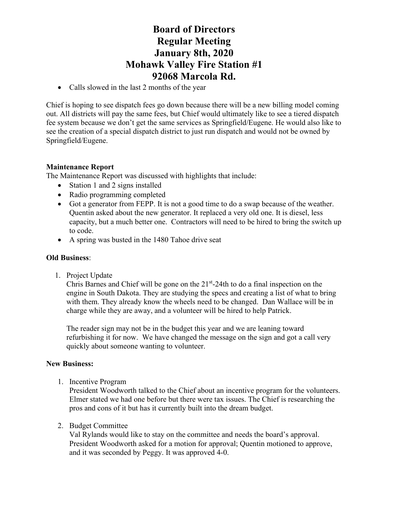• Calls slowed in the last 2 months of the year

Chief is hoping to see dispatch fees go down because there will be a new billing model coming out. All districts will pay the same fees, but Chief would ultimately like to see a tiered dispatch fee system because we don't get the same services as Springfield/Eugene. He would also like to see the creation of a special dispatch district to just run dispatch and would not be owned by Springfield/Eugene.

## **Maintenance Report**

The Maintenance Report was discussed with highlights that include:

- Station 1 and 2 signs installed
- Radio programming completed
- Got a generator from FEPP. It is not a good time to do a swap because of the weather. Quentin asked about the new generator. It replaced a very old one. It is diesel, less capacity, but a much better one. Contractors will need to be hired to bring the switch up to code.
- A spring was busted in the 1480 Tahoe drive seat

#### **Old Business**:

1. Project Update

Chris Barnes and Chief will be gone on the  $21<sup>st</sup>$ -24th to do a final inspection on the engine in South Dakota. They are studying the specs and creating a list of what to bring with them. They already know the wheels need to be changed. Dan Wallace will be in charge while they are away, and a volunteer will be hired to help Patrick.

The reader sign may not be in the budget this year and we are leaning toward refurbishing it for now. We have changed the message on the sign and got a call very quickly about someone wanting to volunteer.

#### **New Business:**

1. Incentive Program

President Woodworth talked to the Chief about an incentive program for the volunteers. Elmer stated we had one before but there were tax issues. The Chief is researching the pros and cons of it but has it currently built into the dream budget.

2. Budget Committee

Val Rylands would like to stay on the committee and needs the board's approval. President Woodworth asked for a motion for approval; Quentin motioned to approve, and it was seconded by Peggy. It was approved 4-0.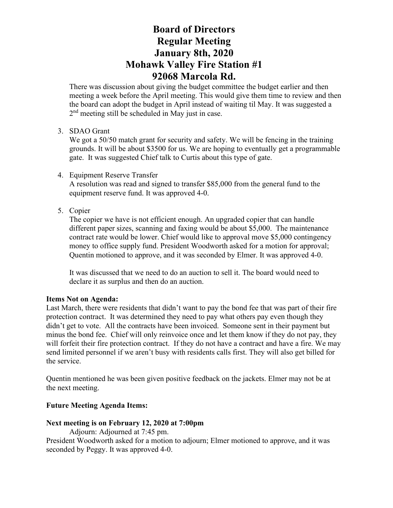There was discussion about giving the budget committee the budget earlier and then meeting a week before the April meeting. This would give them time to review and then the board can adopt the budget in April instead of waiting til May. It was suggested a  $2<sup>nd</sup>$  meeting still be scheduled in May just in case.

### 3. SDAO Grant

We got a 50/50 match grant for security and safety. We will be fencing in the training grounds. It will be about \$3500 for us. We are hoping to eventually get a programmable gate. It was suggested Chief talk to Curtis about this type of gate.

4. Equipment Reserve Transfer

A resolution was read and signed to transfer \$85,000 from the general fund to the equipment reserve fund. It was approved 4-0.

5. Copier

The copier we have is not efficient enough. An upgraded copier that can handle different paper sizes, scanning and faxing would be about \$5,000. The maintenance contract rate would be lower. Chief would like to approval move \$5,000 contingency money to office supply fund. President Woodworth asked for a motion for approval; Quentin motioned to approve, and it was seconded by Elmer. It was approved 4-0.

It was discussed that we need to do an auction to sell it. The board would need to declare it as surplus and then do an auction.

#### **Items Not on Agenda:**

Last March, there were residents that didn't want to pay the bond fee that was part of their fire protection contract. It was determined they need to pay what others pay even though they didn't get to vote. All the contracts have been invoiced. Someone sent in their payment but minus the bond fee. Chief will only reinvoice once and let them know if they do not pay, they will forfeit their fire protection contract. If they do not have a contract and have a fire. We may send limited personnel if we aren't busy with residents calls first. They will also get billed for the service.

Quentin mentioned he was been given positive feedback on the jackets. Elmer may not be at the next meeting.

## **Future Meeting Agenda Items:**

#### **Next meeting is on February 12, 2020 at 7:00pm**

Adjourn: Adjourned at 7:45 pm.

President Woodworth asked for a motion to adjourn; Elmer motioned to approve, and it was seconded by Peggy. It was approved 4-0.